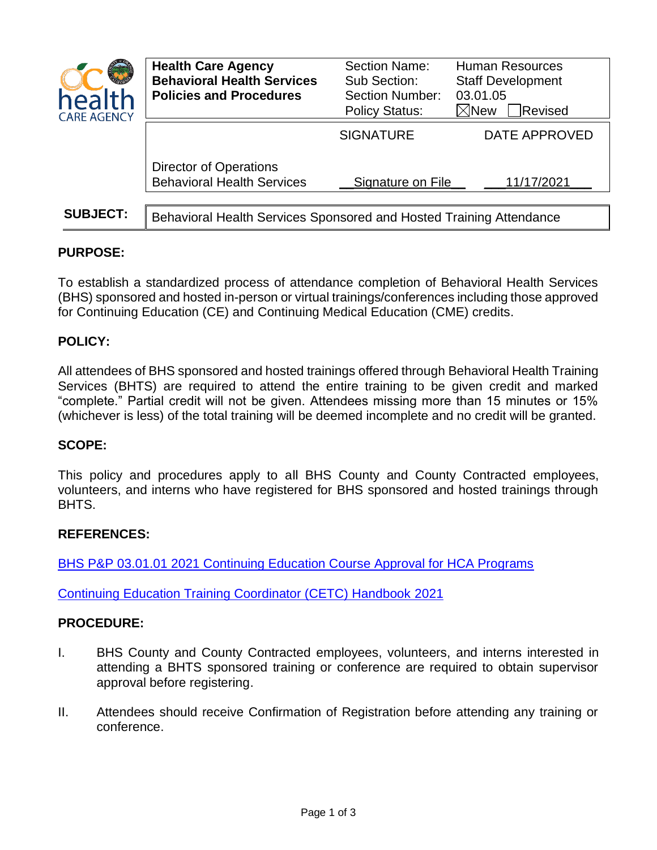| health<br><b>CARE AGENCY</b> | <b>Health Care Agency</b><br><b>Behavioral Health Services</b><br><b>Policies and Procedures</b> | Section Name:<br>Sub Section:<br><b>Section Number:</b><br><b>Policy Status:</b> | <b>Human Resources</b><br><b>Staff Development</b><br>03.01.05<br>$\boxtimes$ New<br>Revised |
|------------------------------|--------------------------------------------------------------------------------------------------|----------------------------------------------------------------------------------|----------------------------------------------------------------------------------------------|
|                              |                                                                                                  | <b>SIGNATURE</b>                                                                 | DATE APPROVED                                                                                |
|                              | <b>Director of Operations</b><br><b>Behavioral Health Services</b>                               | Signature on File                                                                | 11/17/2021                                                                                   |
| <b>SUBJECT:</b>              | Behavioral Health Services Sponsored and Hosted Training Attendance                              |                                                                                  |                                                                                              |

# **PURPOSE:**

To establish a standardized process of attendance completion of Behavioral Health Services (BHS) sponsored and hosted in-person or virtual trainings/conferences including those approved for Continuing Education (CE) and Continuing Medical Education (CME) credits.

## **POLICY:**

All attendees of BHS sponsored and hosted trainings offered through Behavioral Health Training Services (BHTS) are required to attend the entire training to be given credit and marked "complete." Partial credit will not be given. Attendees missing more than 15 minutes or 15% (whichever is less) of the total training will be deemed incomplete and no credit will be granted.

## **SCOPE:**

This policy and procedures apply to all BHS County and County Contracted employees, volunteers, and interns who have registered for BHS sponsored and hosted trainings through BHTS.

#### **REFERENCES:**

[BHS P&P 03.01.01 2021 Continuing Education Course Approval for HCA Programs](https://www.ochealthinfo.com/sites/hca/files/2021-10/03.01.01%202021%20Continuing%20Education%20Course%20Approval%20for%20HCA%20Programs.pdf)

[Continuing Education Training Coordinator \(CETC\) Handbook](https://www.ochealthinfo.com/sites/hca/files/import/data/files/119106.pdf) 2021

#### **PROCEDURE:**

- I. BHS County and County Contracted employees, volunteers, and interns interested in attending a BHTS sponsored training or conference are required to obtain supervisor approval before registering.
- II. Attendees should receive Confirmation of Registration before attending any training or conference.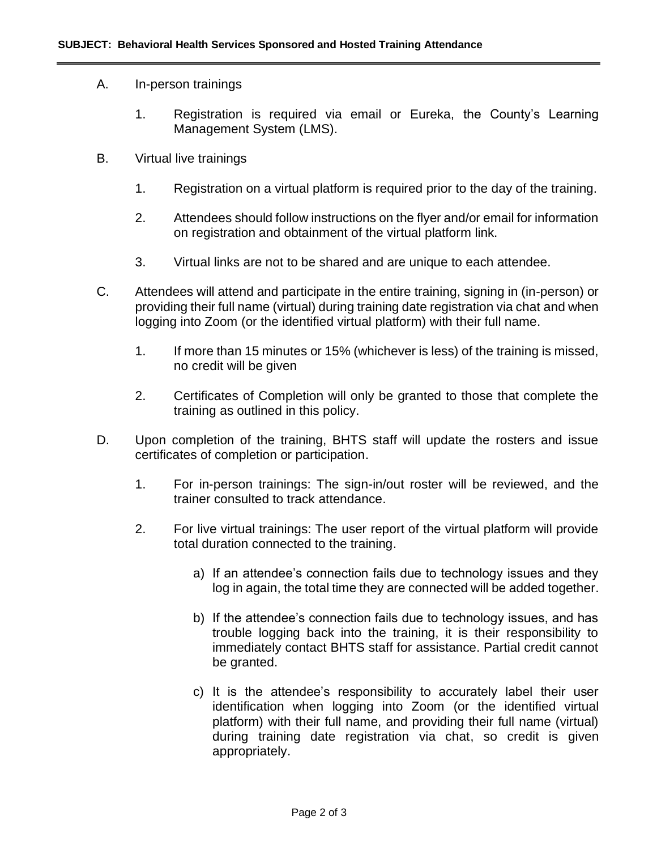### A. In-person trainings

- 1. Registration is required via email or Eureka, the County's Learning Management System (LMS).
- B. Virtual live trainings
	- 1. Registration on a virtual platform is required prior to the day of the training.
	- 2. Attendees should follow instructions on the flyer and/or email for information on registration and obtainment of the virtual platform link.
	- 3. Virtual links are not to be shared and are unique to each attendee.
- C. Attendees will attend and participate in the entire training, signing in (in-person) or providing their full name (virtual) during training date registration via chat and when logging into Zoom (or the identified virtual platform) with their full name.
	- 1. If more than 15 minutes or 15% (whichever is less) of the training is missed, no credit will be given
	- 2. Certificates of Completion will only be granted to those that complete the training as outlined in this policy.
- D. Upon completion of the training, BHTS staff will update the rosters and issue certificates of completion or participation.
	- 1. For in-person trainings: The sign-in/out roster will be reviewed, and the trainer consulted to track attendance.
	- 2. For live virtual trainings: The user report of the virtual platform will provide total duration connected to the training.
		- a) If an attendee's connection fails due to technology issues and they log in again, the total time they are connected will be added together.
		- b) If the attendee's connection fails due to technology issues, and has trouble logging back into the training, it is their responsibility to immediately contact BHTS staff for assistance. Partial credit cannot be granted.
		- c) It is the attendee's responsibility to accurately label their user identification when logging into Zoom (or the identified virtual platform) with their full name, and providing their full name (virtual) during training date registration via chat, so credit is given appropriately.